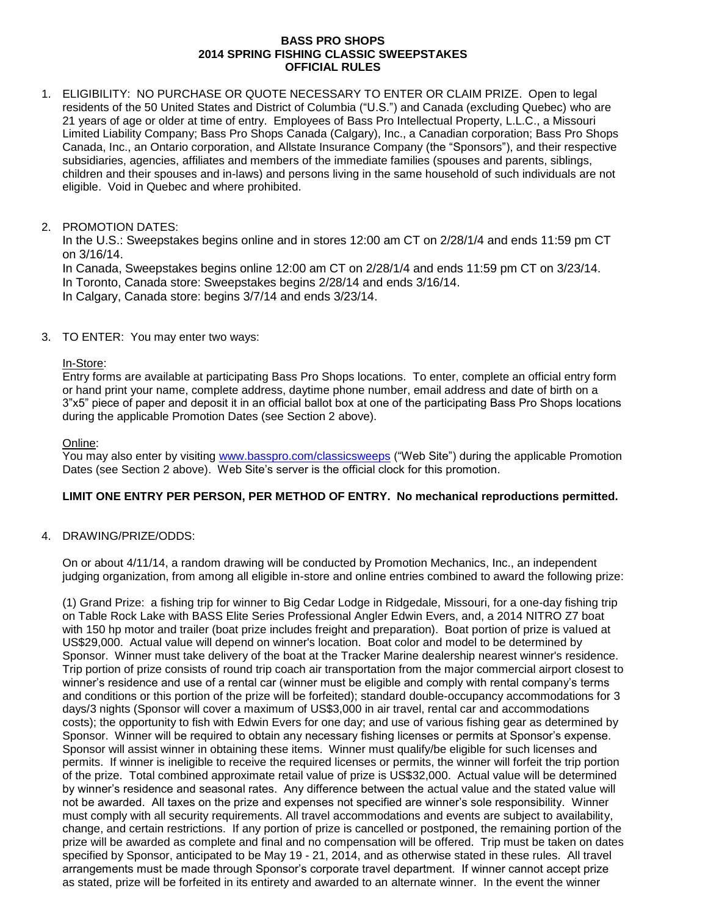#### **BASS PRO SHOPS 2014 SPRING FISHING CLASSIC SWEEPSTAKES OFFICIAL RULES**

1. ELIGIBILITY: NO PURCHASE OR QUOTE NECESSARY TO ENTER OR CLAIM PRIZE. Open to legal residents of the 50 United States and District of Columbia ("U.S.") and Canada (excluding Quebec) who are 21 years of age or older at time of entry. Employees of Bass Pro Intellectual Property, L.L.C., a Missouri Limited Liability Company; Bass Pro Shops Canada (Calgary), Inc., a Canadian corporation; Bass Pro Shops Canada, Inc., an Ontario corporation, and Allstate Insurance Company (the "Sponsors"), and their respective subsidiaries, agencies, affiliates and members of the immediate families (spouses and parents, siblings, children and their spouses and in-laws) and persons living in the same household of such individuals are not eligible. Void in Quebec and where prohibited.

### 2. PROMOTION DATES:

In the U.S.: Sweepstakes begins online and in stores 12:00 am CT on 2/28/1/4 and ends 11:59 pm CT on 3/16/14.

In Canada, Sweepstakes begins online 12:00 am CT on 2/28/1/4 and ends 11:59 pm CT on 3/23/14. In Toronto, Canada store: Sweepstakes begins 2/28/14 and ends 3/16/14.

In Calgary, Canada store: begins 3/7/14 and ends 3/23/14.

3. TO ENTER: You may enter two ways:

### In-Store:

Entry forms are available at participating Bass Pro Shops locations. To enter, complete an official entry form or hand print your name, complete address, daytime phone number, email address and date of birth on a 3"x5" piece of paper and deposit it in an official ballot box at one of the participating Bass Pro Shops locations during the applicable Promotion Dates (see Section 2 above).

Online:

You may also enter by visiting [www.basspro.com/classicsweeps](../../../../../../Documents%20and%20Settings/laedwards/Local%20Settings/Temporary%20Internet%20Files/Content.Outlook/HJGI7AZX/www.basspro.com/classicsweeps) ("Web Site") during the applicable Promotion Dates (see Section 2 above). Web Site's server is the official clock for this promotion.

# **LIMIT ONE ENTRY PER PERSON, PER METHOD OF ENTRY. No mechanical reproductions permitted.**

# 4. DRAWING/PRIZE/ODDS:

On or about 4/11/14, a random drawing will be conducted by Promotion Mechanics, Inc., an independent judging organization, from among all eligible in-store and online entries combined to award the following prize:

(1) Grand Prize: a fishing trip for winner to Big Cedar Lodge in Ridgedale, Missouri, for a one-day fishing trip on Table Rock Lake with BASS Elite Series Professional Angler Edwin Evers, and, a 2014 NITRO Z7 boat with 150 hp motor and trailer (boat prize includes freight and preparation). Boat portion of prize is valued at US\$29,000. Actual value will depend on winner's location. Boat color and model to be determined by Sponsor. Winner must take delivery of the boat at the Tracker Marine dealership nearest winner's residence. Trip portion of prize consists of round trip coach air transportation from the major commercial airport closest to winner's residence and use of a rental car (winner must be eligible and comply with rental company's terms and conditions or this portion of the prize will be forfeited); standard double-occupancy accommodations for 3 days/3 nights (Sponsor will cover a maximum of US\$3,000 in air travel, rental car and accommodations costs); the opportunity to fish with Edwin Evers for one day; and use of various fishing gear as determined by Sponsor. Winner will be required to obtain any necessary fishing licenses or permits at Sponsor's expense. Sponsor will assist winner in obtaining these items. Winner must qualify/be eligible for such licenses and permits. If winner is ineligible to receive the required licenses or permits, the winner will forfeit the trip portion of the prize. Total combined approximate retail value of prize is US\$32,000. Actual value will be determined by winner's residence and seasonal rates. Any difference between the actual value and the stated value will not be awarded. All taxes on the prize and expenses not specified are winner's sole responsibility. Winner must comply with all security requirements. All travel accommodations and events are subject to availability, change, and certain restrictions. If any portion of prize is cancelled or postponed, the remaining portion of the prize will be awarded as complete and final and no compensation will be offered. Trip must be taken on dates specified by Sponsor, anticipated to be May 19 - 21, 2014, and as otherwise stated in these rules. All travel arrangements must be made through Sponsor's corporate travel department. If winner cannot accept prize as stated, prize will be forfeited in its entirety and awarded to an alternate winner. In the event the winner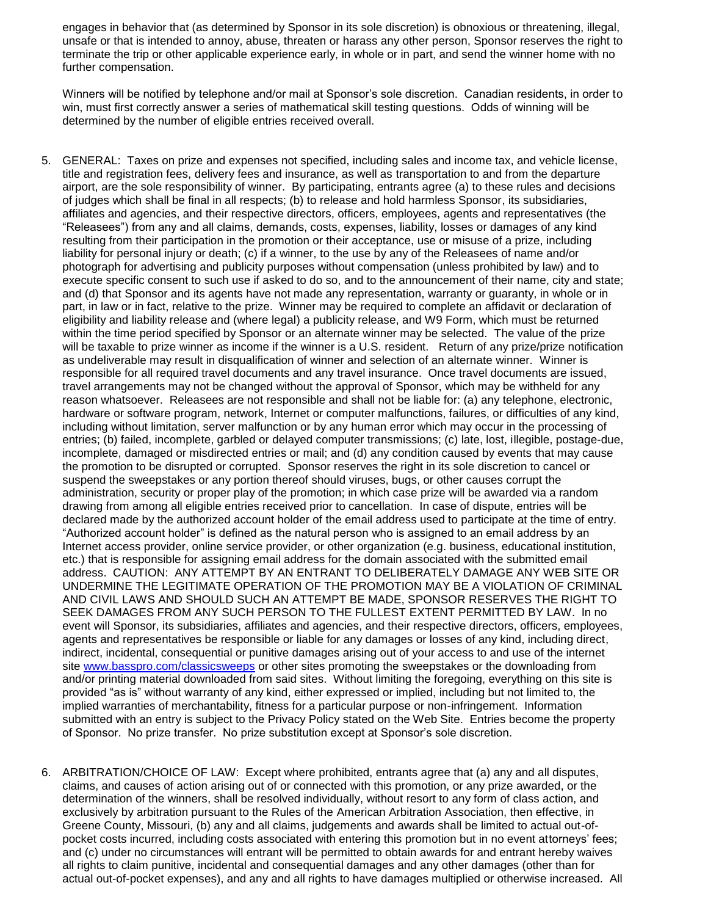engages in behavior that (as determined by Sponsor in its sole discretion) is obnoxious or threatening, illegal, unsafe or that is intended to annoy, abuse, threaten or harass any other person, Sponsor reserves the right to terminate the trip or other applicable experience early, in whole or in part, and send the winner home with no further compensation.

Winners will be notified by telephone and/or mail at Sponsor's sole discretion. Canadian residents, in order to win, must first correctly answer a series of mathematical skill testing questions. Odds of winning will be determined by the number of eligible entries received overall.

- 5. GENERAL: Taxes on prize and expenses not specified, including sales and income tax, and vehicle license, title and registration fees, delivery fees and insurance, as well as transportation to and from the departure airport, are the sole responsibility of winner. By participating, entrants agree (a) to these rules and decisions of judges which shall be final in all respects; (b) to release and hold harmless Sponsor, its subsidiaries, affiliates and agencies, and their respective directors, officers, employees, agents and representatives (the "Releasees") from any and all claims, demands, costs, expenses, liability, losses or damages of any kind resulting from their participation in the promotion or their acceptance, use or misuse of a prize, including liability for personal injury or death; (c) if a winner, to the use by any of the Releasees of name and/or photograph for advertising and publicity purposes without compensation (unless prohibited by law) and to execute specific consent to such use if asked to do so, and to the announcement of their name, city and state; and (d) that Sponsor and its agents have not made any representation, warranty or guaranty, in whole or in part, in law or in fact, relative to the prize. Winner may be required to complete an affidavit or declaration of eligibility and liability release and (where legal) a publicity release, and W9 Form, which must be returned within the time period specified by Sponsor or an alternate winner may be selected. The value of the prize will be taxable to prize winner as income if the winner is a U.S. resident.Return of any prize/prize notification as undeliverable may result in disqualification of winner and selection of an alternate winner. Winner is responsible for all required travel documents and any travel insurance. Once travel documents are issued, travel arrangements may not be changed without the approval of Sponsor, which may be withheld for any reason whatsoever. Releasees are not responsible and shall not be liable for: (a) any telephone, electronic, hardware or software program, network, Internet or computer malfunctions, failures, or difficulties of any kind, including without limitation, server malfunction or by any human error which may occur in the processing of entries; (b) failed, incomplete, garbled or delayed computer transmissions; (c) late, lost, illegible, postage-due, incomplete, damaged or misdirected entries or mail; and (d) any condition caused by events that may cause the promotion to be disrupted or corrupted. Sponsor reserves the right in its sole discretion to cancel or suspend the sweepstakes or any portion thereof should viruses, bugs, or other causes corrupt the administration, security or proper play of the promotion; in which case prize will be awarded via a random drawing from among all eligible entries received prior to cancellation. In case of dispute, entries will be declared made by the authorized account holder of the email address used to participate at the time of entry. "Authorized account holder" is defined as the natural person who is assigned to an email address by an Internet access provider, online service provider, or other organization (e.g. business, educational institution, etc.) that is responsible for assigning email address for the domain associated with the submitted email address. CAUTION: ANY ATTEMPT BY AN ENTRANT TO DELIBERATELY DAMAGE ANY WEB SITE OR UNDERMINE THE LEGITIMATE OPERATION OF THE PROMOTION MAY BE A VIOLATION OF CRIMINAL AND CIVIL LAWS AND SHOULD SUCH AN ATTEMPT BE MADE, SPONSOR RESERVES THE RIGHT TO SEEK DAMAGES FROM ANY SUCH PERSON TO THE FULLEST EXTENT PERMITTED BY LAW. In no event will Sponsor, its subsidiaries, affiliates and agencies, and their respective directors, officers, employees, agents and representatives be responsible or liable for any damages or losses of any kind, including direct, indirect, incidental, consequential or punitive damages arising out of your access to and use of the internet site [www.basspro.com/classicsweeps](../../../../../../Documents%20and%20Settings/laedwards/Local%20Settings/Temporary%20Internet%20Files/Content.Outlook/HJGI7AZX/www.basspro.com/classicsweeps) or other sites promoting the sweepstakes or the downloading from and/or printing material downloaded from said sites. Without limiting the foregoing, everything on this site is provided "as is" without warranty of any kind, either expressed or implied, including but not limited to, the implied warranties of merchantability, fitness for a particular purpose or non-infringement. Information submitted with an entry is subject to the Privacy Policy stated on the Web Site. Entries become the property of Sponsor. No prize transfer. No prize substitution except at Sponsor's sole discretion.
- 6. ARBITRATION/CHOICE OF LAW: Except where prohibited, entrants agree that (a) any and all disputes, claims, and causes of action arising out of or connected with this promotion, or any prize awarded, or the determination of the winners, shall be resolved individually, without resort to any form of class action, and exclusively by arbitration pursuant to the Rules of the American Arbitration Association, then effective, in Greene County, Missouri, (b) any and all claims, judgements and awards shall be limited to actual out-ofpocket costs incurred, including costs associated with entering this promotion but in no event attorneys' fees; and (c) under no circumstances will entrant will be permitted to obtain awards for and entrant hereby waives all rights to claim punitive, incidental and consequential damages and any other damages (other than for actual out-of-pocket expenses), and any and all rights to have damages multiplied or otherwise increased. All